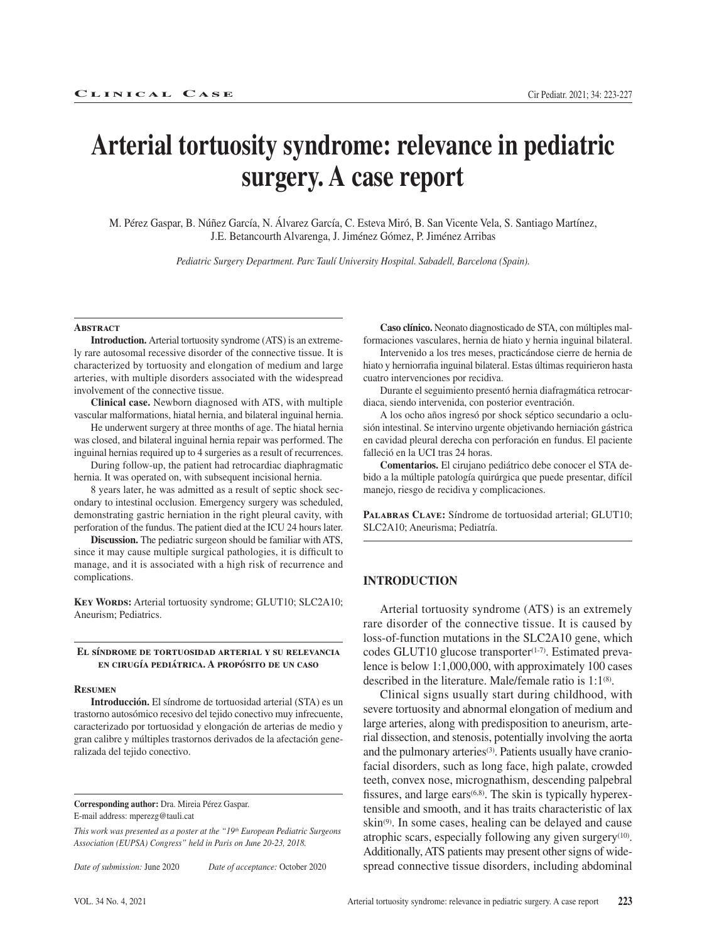# **Arterial tortuosity syndrome: relevance in pediatric surgery. A case report**

M. Pérez Gaspar, B. Núñez García, N. Álvarez García, C. Esteva Miró, B. San Vicente Vela, S. Santiago Martínez, J.E. Betancourth Alvarenga, J. Jiménez Gómez, P. Jiménez Arribas

*Pediatric Surgery Department. Parc Taulí University Hospital. Sabadell, Barcelona (Spain).*

#### **Abstract**

**Introduction.** Arterial tortuosity syndrome (ATS) is an extremely rare autosomal recessive disorder of the connective tissue. It is characterized by tortuosity and elongation of medium and large arteries, with multiple disorders associated with the widespread involvement of the connective tissue.

**Clinical case.** Newborn diagnosed with ATS, with multiple vascular malformations, hiatal hernia, and bilateral inguinal hernia.

He underwent surgery at three months of age. The hiatal hernia was closed, and bilateral inguinal hernia repair was performed. The inguinal hernias required up to 4 surgeries as a result of recurrences.

During follow-up, the patient had retrocardiac diaphragmatic hernia. It was operated on, with subsequent incisional hernia.

8 years later, he was admitted as a result of septic shock secondary to intestinal occlusion. Emergency surgery was scheduled, demonstrating gastric herniation in the right pleural cavity, with perforation of the fundus. The patient died at the ICU 24 hours later.

**Discussion.** The pediatric surgeon should be familiar with ATS, since it may cause multiple surgical pathologies, it is difficult to manage, and it is associated with a high risk of recurrence and complications.

KEY WORDS: Arterial tortuosity syndrome; GLUT10; SLC2A10; Aneurism; Pediatrics.

#### **El síndrome de tortuosidad arterial y su relevancia en cirugía pediátrica. A propósito de un caso**

#### **Resumen**

**Introducción.** El síndrome de tortuosidad arterial (STA) es un trastorno autosómico recesivo del tejido conectivo muy infrecuente, caracterizado por tortuosidad y elongación de arterias de medio y gran calibre y múltiples trastornos derivados de la afectación generalizada del tejido conectivo.

**Corresponding author:** Dra. Mireia Pérez Gaspar. E-mail address: mperezg@tauli.cat

*This work was presented as a poster at the "19th European Pediatric Surgeons Association (EUPSA) Congress" held in Paris on June 20-23, 2018.*

*Date of submission:* June 2020 *Date of acceptance:* October 2020

**Caso clínico.** Neonato diagnosticado de STA, con múltiples malformaciones vasculares, hernia de hiato y hernia inguinal bilateral.

Intervenido a los tres meses, practicándose cierre de hernia de hiato y herniorrafia inguinal bilateral. Estas últimas requirieron hasta cuatro intervenciones por recidiva.

Durante el seguimiento presentó hernia diafragmática retrocardiaca, siendo intervenida, con posterior eventración.

A los ocho años ingresó por shock séptico secundario a oclusión intestinal. Se intervino urgente objetivando herniación gástrica en cavidad pleural derecha con perforación en fundus. El paciente falleció en la UCI tras 24 horas.

**Comentarios.** El cirujano pediátrico debe conocer el STA debido a la múltiple patología quirúrgica que puede presentar, difícil manejo, riesgo de recidiva y complicaciones.

**Palabras Clave:** Síndrome de tortuosidad arterial; GLUT10; SLC2A10; Aneurisma; Pediatría.

### **INTRODUCTION**

Arterial tortuosity syndrome (ATS) is an extremely rare disorder of the connective tissue. It is caused by loss-of-function mutations in the SLC2A10 gene, which codes GLUT10 glucose transporter<sup>(1-7)</sup>. Estimated prevalence is below 1:1,000,000, with approximately 100 cases described in the literature. Male/female ratio is  $1:1^{(8)}$ .

Clinical signs usually start during childhood, with severe tortuosity and abnormal elongation of medium and large arteries, along with predisposition to aneurism, arterial dissection, and stenosis, potentially involving the aorta and the pulmonary arteries<sup>(3)</sup>. Patients usually have craniofacial disorders, such as long face, high palate, crowded teeth, convex nose, micrognathism, descending palpebral fissures, and large ears<sup>(6,8)</sup>. The skin is typically hyperextensible and smooth, and it has traits characteristic of lax skin(9). In some cases, healing can be delayed and cause atrophic scars, especially following any given surgery $(10)$ . Additionally, ATS patients may present other signs of widespread connective tissue disorders, including abdominal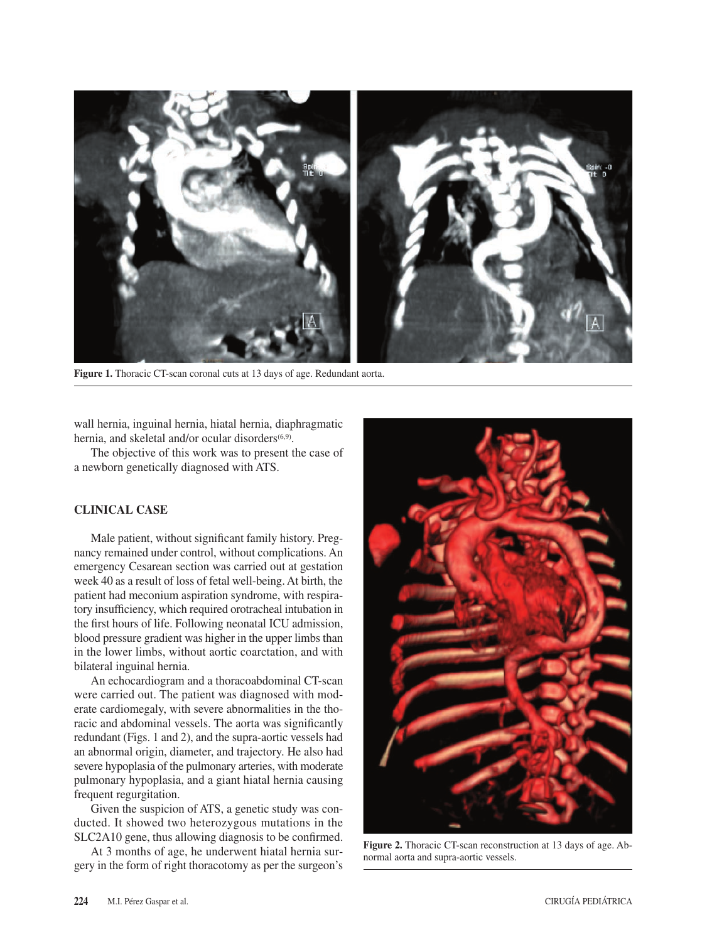

**Figure 1.** Thoracic CT-scan coronal cuts at 13 days of age. Redundant aorta.

wall hernia, inguinal hernia, hiatal hernia, diaphragmatic hernia, and skeletal and/or ocular disorders<sup>(6,9)</sup>.

The objective of this work was to present the case of a newborn genetically diagnosed with ATS.

## **CLINICAL CASE**

Male patient, without significant family history. Pregnancy remained under control, without complications. An emergency Cesarean section was carried out at gestation week 40 as a result of loss of fetal well-being. At birth, the patient had meconium aspiration syndrome, with respiratory insufficiency, which required orotracheal intubation in the first hours of life. Following neonatal ICU admission, blood pressure gradient was higher in the upper limbs than in the lower limbs, without aortic coarctation, and with bilateral inguinal hernia.

An echocardiogram and a thoracoabdominal CT-scan were carried out. The patient was diagnosed with moderate cardiomegaly, with severe abnormalities in the thoracic and abdominal vessels. The aorta was significantly redundant (Figs. 1 and 2), and the supra-aortic vessels had an abnormal origin, diameter, and trajectory. He also had severe hypoplasia of the pulmonary arteries, with moderate pulmonary hypoplasia, and a giant hiatal hernia causing frequent regurgitation.

Given the suspicion of ATS, a genetic study was conducted. It showed two heterozygous mutations in the SLC2A10 gene, thus allowing diagnosis to be confirmed.

At 3 months of age, he underwent hiatal hernia surgery in the form of right thoracotomy as per the surgeon's



**Figure 2.** Thoracic CT-scan reconstruction at 13 days of age. Abnormal aorta and supra-aortic vessels.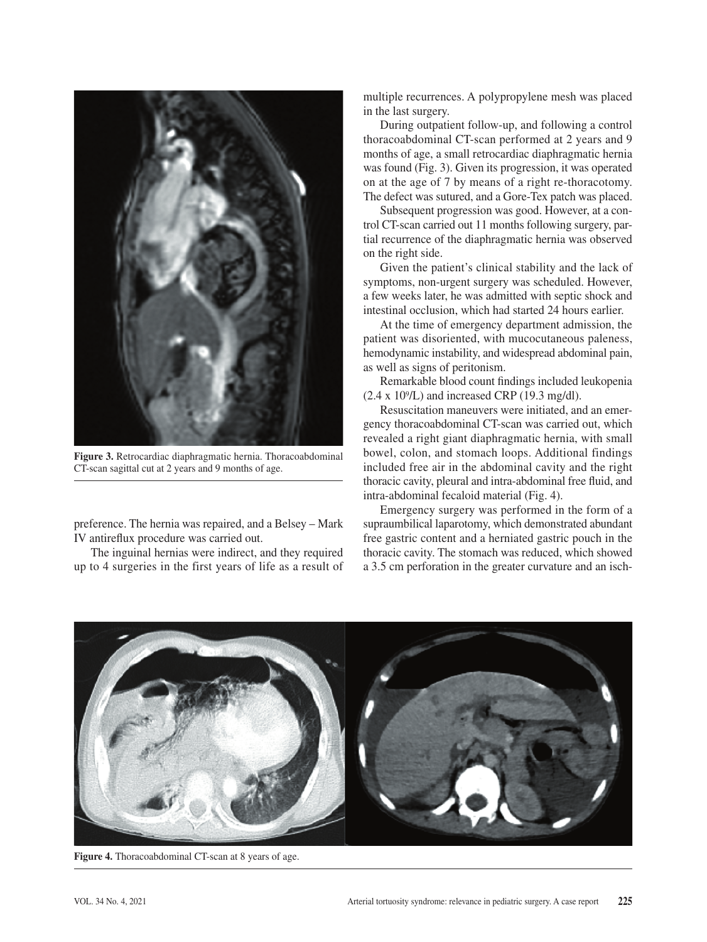

**Figure 3.** Retrocardiac diaphragmatic hernia. Thoracoabdominal CT-scan sagittal cut at 2 years and 9 months of age.

preference. The hernia was repaired, and a Belsey – Mark IV antireflux procedure was carried out.

The inguinal hernias were indirect, and they required up to 4 surgeries in the first years of life as a result of multiple recurrences. A polypropylene mesh was placed in the last surgery.

During outpatient follow-up, and following a control thoracoabdominal CT-scan performed at 2 years and 9 months of age, a small retrocardiac diaphragmatic hernia was found (Fig. 3). Given its progression, it was operated on at the age of 7 by means of a right re-thoracotomy. The defect was sutured, and a Gore-Tex patch was placed.

Subsequent progression was good. However, at a control CT-scan carried out 11 months following surgery, partial recurrence of the diaphragmatic hernia was observed on the right side.

Given the patient's clinical stability and the lack of symptoms, non-urgent surgery was scheduled. However, a few weeks later, he was admitted with septic shock and intestinal occlusion, which had started 24 hours earlier.

At the time of emergency department admission, the patient was disoriented, with mucocutaneous paleness, hemodynamic instability, and widespread abdominal pain, as well as signs of peritonism.

Remarkable blood count findings included leukopenia  $(2.4 \times 10^9$ /L) and increased CRP (19.3 mg/dl).

Resuscitation maneuvers were initiated, and an emergency thoracoabdominal CT-scan was carried out, which revealed a right giant diaphragmatic hernia, with small bowel, colon, and stomach loops. Additional findings included free air in the abdominal cavity and the right thoracic cavity, pleural and intra-abdominal free fluid, and intra-abdominal fecaloid material (Fig. 4).

Emergency surgery was performed in the form of a supraumbilical laparotomy, which demonstrated abundant free gastric content and a herniated gastric pouch in the thoracic cavity. The stomach was reduced, which showed a 3.5 cm perforation in the greater curvature and an isch-



**Figure 4.** Thoracoabdominal CT-scan at 8 years of age.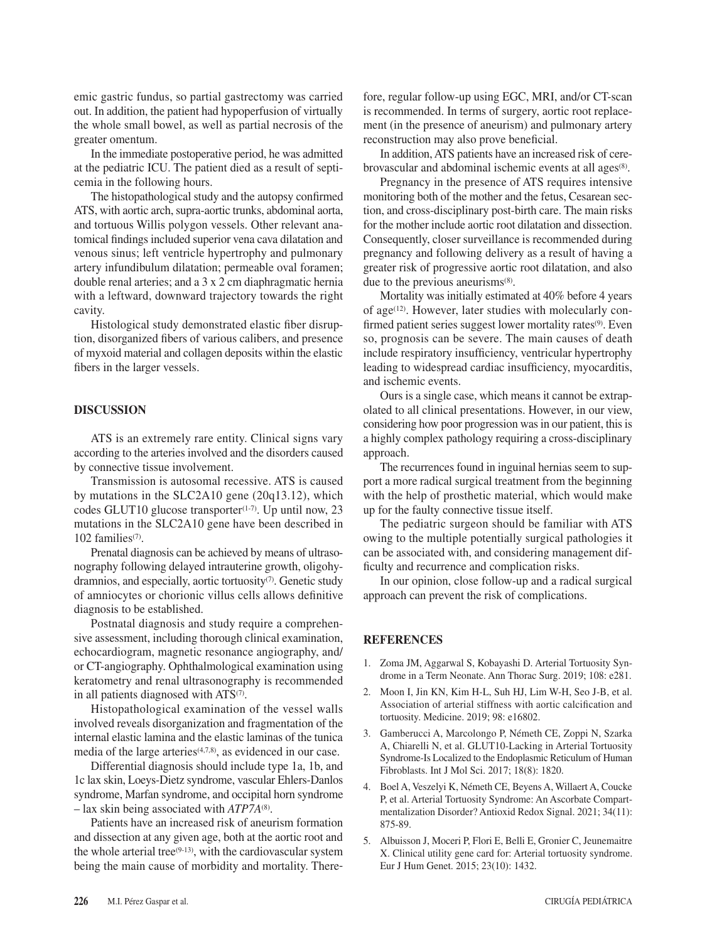emic gastric fundus, so partial gastrectomy was carried out. In addition, the patient had hypoperfusion of virtually the whole small bowel, as well as partial necrosis of the greater omentum.

In the immediate postoperative period, he was admitted at the pediatric ICU. The patient died as a result of septicemia in the following hours.

The histopathological study and the autopsy confirmed ATS, with aortic arch, supra-aortic trunks, abdominal aorta, and tortuous Willis polygon vessels. Other relevant anatomical findings included superior vena cava dilatation and venous sinus; left ventricle hypertrophy and pulmonary artery infundibulum dilatation; permeable oval foramen; double renal arteries; and a 3 x 2 cm diaphragmatic hernia with a leftward, downward trajectory towards the right cavity.

Histological study demonstrated elastic fiber disruption, disorganized fibers of various calibers, and presence of myxoid material and collagen deposits within the elastic fibers in the larger vessels.

## **DISCUSSION**

ATS is an extremely rare entity. Clinical signs vary according to the arteries involved and the disorders caused by connective tissue involvement.

Transmission is autosomal recessive. ATS is caused by mutations in the SLC2A10 gene (20q13.12), which codes GLUT10 glucose transporter $(1-7)$ . Up until now, 23 mutations in the SLC2A10 gene have been described in 102 families $(7)$ .

Prenatal diagnosis can be achieved by means of ultrasonography following delayed intrauterine growth, oligohydramnios, and especially, aortic tortuosity<sup>(7)</sup>. Genetic study of amniocytes or chorionic villus cells allows definitive diagnosis to be established.

Postnatal diagnosis and study require a comprehensive assessment, including thorough clinical examination, echocardiogram, magnetic resonance angiography, and/ or CT-angiography. Ophthalmological examination using keratometry and renal ultrasonography is recommended in all patients diagnosed with ATS<sup>(7)</sup>.

Histopathological examination of the vessel walls involved reveals disorganization and fragmentation of the internal elastic lamina and the elastic laminas of the tunica media of the large arteries(4,7,8), as evidenced in our case.

Differential diagnosis should include type 1a, 1b, and 1c lax skin, Loeys-Dietz syndrome, vascular Ehlers-Danlos syndrome, Marfan syndrome, and occipital horn syndrome – lax skin being associated with *ATP7A*(8).

Patients have an increased risk of aneurism formation and dissection at any given age, both at the aortic root and the whole arterial tree $(9-13)$ , with the cardiovascular system being the main cause of morbidity and mortality. Therefore, regular follow-up using EGC, MRI, and/or CT-scan is recommended. In terms of surgery, aortic root replacement (in the presence of aneurism) and pulmonary artery reconstruction may also prove beneficial.

In addition, ATS patients have an increased risk of cerebrovascular and abdominal ischemic events at all ages<sup>(8)</sup>.

Pregnancy in the presence of ATS requires intensive monitoring both of the mother and the fetus, Cesarean section, and cross-disciplinary post-birth care. The main risks for the mother include aortic root dilatation and dissection. Consequently, closer surveillance is recommended during pregnancy and following delivery as a result of having a greater risk of progressive aortic root dilatation, and also due to the previous aneurisms<sup>(8)</sup>.

Mortality was initially estimated at 40% before 4 years of age<sup> $(12)$ </sup>. However, later studies with molecularly confirmed patient series suggest lower mortality rates<sup>(9)</sup>. Even so, prognosis can be severe. The main causes of death include respiratory insufficiency, ventricular hypertrophy leading to widespread cardiac insufficiency, myocarditis, and ischemic events.

Ours is a single case, which means it cannot be extrapolated to all clinical presentations. However, in our view, considering how poor progression was in our patient, this is a highly complex pathology requiring a cross-disciplinary approach.

The recurrences found in inguinal hernias seem to support a more radical surgical treatment from the beginning with the help of prosthetic material, which would make up for the faulty connective tissue itself.

The pediatric surgeon should be familiar with ATS owing to the multiple potentially surgical pathologies it can be associated with, and considering management difficulty and recurrence and complication risks.

In our opinion, close follow-up and a radical surgical approach can prevent the risk of complications.

#### **REFERENCES**

- 1. Zoma JM, Aggarwal S, Kobayashi D. Arterial Tortuosity Syndrome in a Term Neonate. Ann Thorac Surg. 2019; 108: e281.
- 2. Moon I, Jin KN, Kim H-L, Suh HJ, Lim W-H, Seo J-B, et al. Association of arterial stiffness with aortic calcification and tortuosity. Medicine. 2019; 98: e16802.
- 3. Gamberucci A, Marcolongo P, Németh CE, Zoppi N, Szarka A, Chiarelli N, et al. GLUT10-Lacking in Arterial Tortuosity Syndrome-Is Localized to the Endoplasmic Reticulum of Human Fibroblasts. Int J Mol Sci. 2017; 18(8): 1820.
- 4. Boel A, Veszelyi K, Németh CE, Beyens A, Willaert A, Coucke P, et al. Arterial Tortuosity Syndrome: An Ascorbate Compartmentalization Disorder? Antioxid Redox Signal. 2021; 34(11): 875-89.
- 5. Albuisson J, Moceri P, Flori E, Belli E, Gronier C, Jeunemaitre X. Clinical utility gene card for: Arterial tortuosity syndrome. Eur J Hum Genet. 2015; 23(10): 1432.